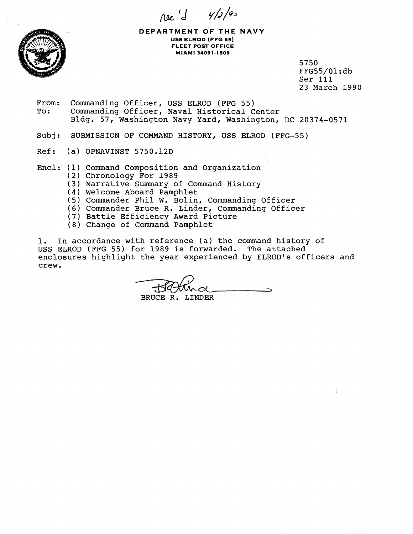$\pi e' d \frac{y}{f^{4}}$ 



**DEPARTMENT OF THE NAVY USS ELROD (FFG 55) FLEET POST OFFICE MIAMI 94091-1 SO9** 

> 5750 FFG55/01 :db Ser 111 23 March 1990

From: Commanding Officer, USS ELROD (FFG 55)<br>To: Commanding Officer, Naval Historical C Commanding Officer, Naval Historical Center Bldg. 57, Washington Navy Yard, Washington, DC 20374-0571

Subj: SUBMISSION OF COMMAND HISTORY, USS ELROD (FFG-55)

- Ref: (a) OPNAVINST 5750.12D
- Encl: (1) Command Composition and Organization
	- (2) Chronology For 1989
	- **(3)**  Narrative Summary of Command History
	- **(4**  Welcome Aboard Pamphlet
	- (5 Commander Phil W. Bolin, Commanding Officer
	- **(6)**  Commander Bruce R. Linder, Commanding Officer
	- (7 Battle Efficiency Award Picture
	- (8) Change of Command Pamphlet

1. In accordance with reference (a) the command history of USS ELROD (FFG 55) for 1989 is forwarded. The attached enclosures highlight the year experienced by ELROD's officers and crew.

BRUCE R. LINDER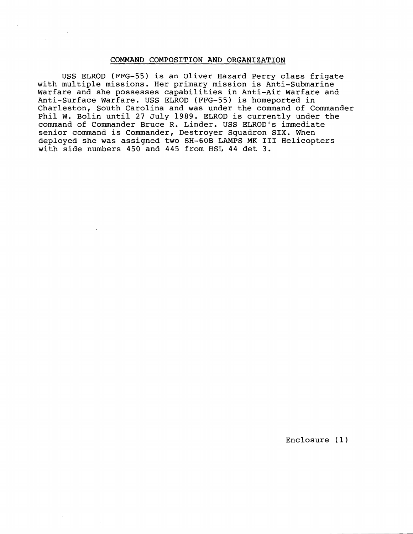## COMMAND COMPOSITION AND ORGANIZATION

USS ELROD (FFG-55) is an Oliver Hazard Perry class frigate with multiple missions. Her primary mission is Anti-Submarine Warfare and she possesses capabilities in Anti-Air Warfare and Anti-Surface Warfare. USS ELROD (FFG-55) is homeported in Charleston, South Carolina and was under the command of Commander Phil W. Bolin until 27 July 1989. ELROD is currently under the command of Commander Bruce R. Linder. USS ELROD's immediate senior command is Commander, Destroyer Squadron SIX. When deployed she was assigned two SH-60B LAMPS MK I11 Helicopters with side numbers 450 and 445 from HSL 44 det 3.

Enclosure **(1)**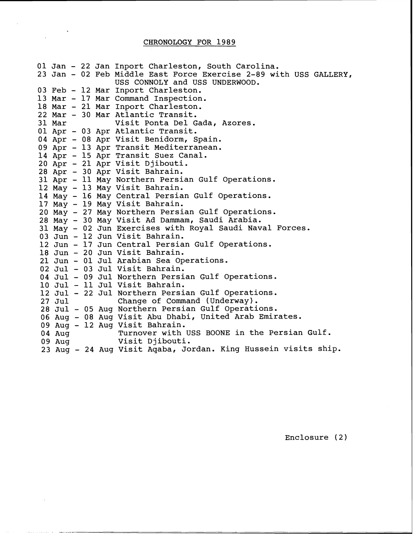## CHRONOLOGY FOR 1989

01 Jan - 22 Jan Inport Charleston, South Carolina. 23 Jan - 02 Feb Middle East Force Exercise 2-89 with USS GALLERY, USS CONNOLY and USS UNDERWOOD. 03 Feb - 12 Mar Inport Charleston. 13 Mar - 17 Mar Command Inspection. 18 Mar - 21 Mar Inport Charleston. 22 Mar - 30 Mar Atlantic Transit. 31 Mar Visit Ponta Del Gada, Azores. 01 Apr - 03 Apr Atlantic Transit. 04 Apr - 08 Apr Visit Benidorm, Spain. 09 Apr - 13 Apr Transit Mediterranean. 14 Apr - 15 Apr Transit Suez Canal. 20 Apr - 21 Apr Visit Djibouti. 28 Apr - 30 Apr Visit Bahrain, 31 Apr - 11 May Northern Persian Gulf Operations. 12 May - 13 May Visit Bahrain. 14 May - 16 May Central Persian Gulf Operations. 17 May - 19 May Visit Bahrain. 20 May - 27 May Northern Persian Gulf Operations.  $28$  May - 30 May Visit Ad Dammam, Saudi Arabia. 31 May - 02 Jun Exercises with Royal Saudi Naval Forces. 03 Jun - 12 Jun Visit Bahrain, 12 Jun - 17 Jun Central Persian Gulf Operations. 18 Jun - 20 Jun Visit Bahrain. 21 Jun - 01 Jul Arabian Sea Operations. 02 Jul - 03 Jul Visit Bahrain. 04 Jul - 09 Jul Northern Persian Gulf Operations. 10 Jul - 11 Jul Visit Bahrain. 12 Jul - 22 Jul Northern Persian Gulf Operations.<br>27 Jul - Change of Command (Underway). Change of Command (Underway). 28 Jul - 05 Aug Northern Persian Gulf Operations. 06 Aug - 08 Aug Visit Abu Dhabi, United Arab Emirates. 09 Aug - 12 Aug Visit Bahrain. 04 Aug Turnover with USS BOONE in the Persian Gulf. 09 Aug Visit Djibouti. 23 Aug - 24 Aug Visit Aqaba, Jordan. King Hussein visits ship.

Enclosure (2)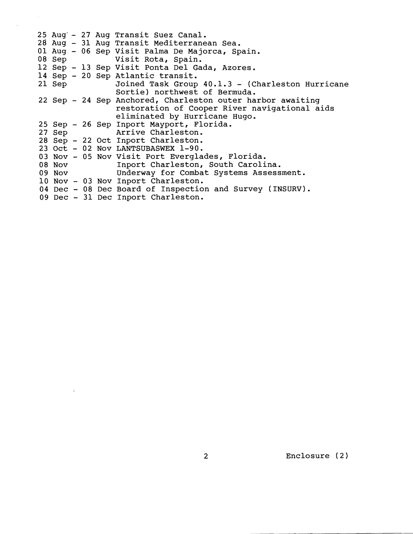|  |  | 25 Aug - 27 Aug Transit Suez Canal.                        |
|--|--|------------------------------------------------------------|
|  |  | 28 Aug - 31 Aug Transit Mediterranean Sea.                 |
|  |  | 01 Aug - 06 Sep Visit Palma De Majorca, Spain.             |
|  |  | 08 Sep Visit Rota, Spain.                                  |
|  |  | 12 Sep - 13 Sep Visit Ponta Del Gada, Azores.              |
|  |  | 14 Sep - 20 Sep Atlantic transit.                          |
|  |  | 21 Sep Joined Task Group 40.1.3 - (Charleston Hurricane    |
|  |  | Sortie) northwest of Bermuda.                              |
|  |  | 22 Sep - 24 Sep Anchored, Charleston outer harbor awaiting |
|  |  | restoration of Cooper River navigational aids              |
|  |  | eliminated by Hurricane Hugo.                              |
|  |  | 25 Sep - 26 Sep Inport Mayport, Florida.                   |
|  |  | 27 Sep Arrive Charleston.                                  |
|  |  | 28 Sep - 22 Oct Inport Charleston.                         |
|  |  | 23 Oct - 02 Nov LANTSUBASWEX 1-90.                         |
|  |  | 03 Nov - 05 Nov Visit Port Everglades, Florida.            |
|  |  | 08 Nov Inport Charleston, South Carolina.                  |
|  |  | 09 Nov Underway for Combat Systems Assessment.             |
|  |  | 10 Nov - 03 Nov Inport Charleston.                         |
|  |  | 04 Dec - 08 Dec Board of Inspection and Survey (INSURV).   |
|  |  | 09 Dec - 31 Dec Inport Charleston.                         |
|  |  |                                                            |

 $\label{eq:3.1} \frac{d}{dt} \left( \frac{d}{dt} \right) = \frac{1}{2} \left( \frac{d}{dt} \right)$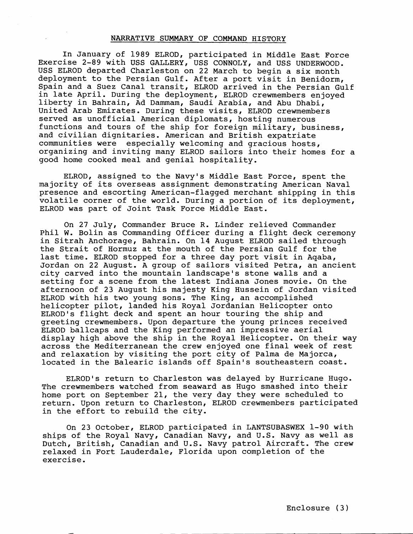## NARRATIVE SUMMARY OF COMMAND HISTORY

In January of 1989 ELROD, participated in Middle East Force Exercise 2-89 with USS GALLERY, USS CONNOLY, and USS UNDERWOOD. USS ELROD departed Charleston on 22 March to begin a six month deployment to the Persian Gulf. After a port visit in Benidorm, Spain and a Suez Canal transit, ELROD arrived in the Persian Gulf in late April. During the deployment, ELROD crewmembers enjoyed liberty in Bahrain, Ad Dammam, Saudi Arabia, and Abu Dhabi, United Arab Emirates. During these visits, ELROD crewmembers served as unofficial American diplomats, hosting numerous functions and tours of the ship for foreign military, business, and civilian dignitaries. American and British expatriate communities were especially welcoming and gracious hosts, organizing and inviting many ELROD sailors into their homes for a good home cooked meal and genial hospitality.

ELROD, assigned to the Navy's Middle East Force, spent the majority of its overseas assignment demonstrating American Naval presence and escorting American-flagged merchant shipping in this volatile corner of the world, During a portion of its deployment, ELROD was part of Joint Task Force Middle East.

On 27 July, Commander Bruce R. Linder relieved Commander Phil W. Bolin as Commanding Officer during a flight deck ceremony in Sitrah Anchorage, Bahrain. On 14 August ELROD sailed through the Strait of Hormuz at the mouth of the Persian Gulf for the last time. ELROD stopped for a three day port visit in Aqaba, Jordan on 22 August. A group of sailors visited Petra, an ancient city carved into the mountain landscape's stone walls and a setting for a scene from the latest Indiana Jones movie. On the afternoon of 23 August his majesty King Hussein of Jordan visited ELROD with his two young sons. The King, an accomplished helicopter pilot, landed his Royal Jordanian Helicopter onto ELROD's flight deck and spent an hour touring the ship and greeting crewmembers. Upon departure the young princes received ELROD ballcaps and the King performed an impressive aerial display high above the ship in the Royal Helicopter. On their way across the Mediterranean the crew enjoyed one final week of rest and relaxation by visiting the port city of Palma de Majorca, located in the Balearic islands off Spain's southeastern coast.

ELROD's return to Charleston was delayed by Hurricane Hugo. The crewmembers watched from seaward as Hugo smashed into their home port on September 21, the very day they were scheduled to return. Upon return to Charleston, ELROD crewmembers participated in the effort to rebuild the city,

On 23 October, ELROD participated in LANTSUBASWEX 1-90 with ships of the Royal Navy, Canadian Navy, and U.S. Navy as well as Dutch, British, Canadian and U.S. Navy patrol Aircraft. The crew relaxed in Fort Lauderdale, Florida upon completion of the exercise.